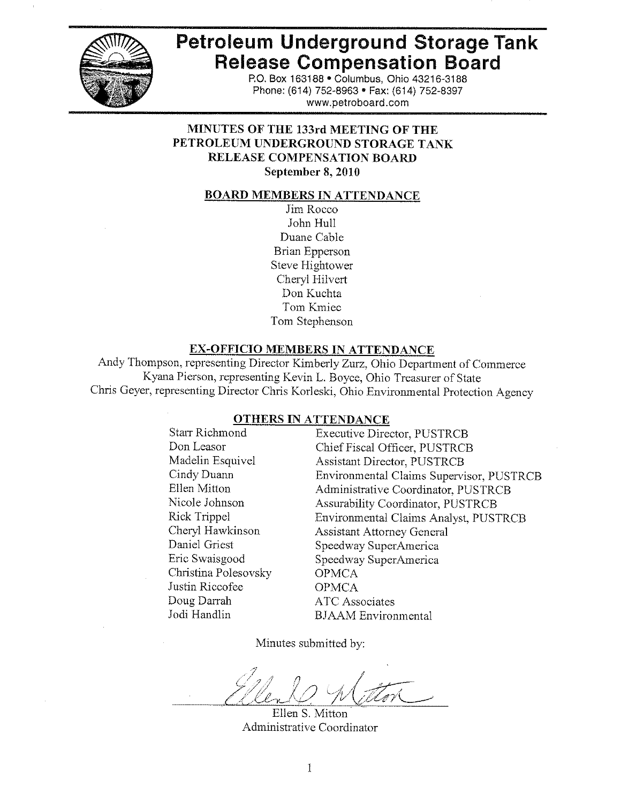

# **Petroleum Underground Storage Tank Release Compensation Board**

P.O. Box 163188 . Columbus, Ohio 43216-3188 Phone: (614) 752-8963 · Fax: (614) 752-8397 www.petroboard.com

# MINUTES OF THE 133rd MEETING OF THE PETROLEUM UNDERGROUND STORAGE TANK **RELEASE COMPENSATION BOARD** September 8, 2010

#### **BOARD MEMBERS IN ATTENDANCE**

Jim Rocco John Hull Duane Cable **Brian Epperson** Steve Hightower Cheryl Hilvert Don Kuchta Tom Kmiec Tom Stephenson

#### **EX-OFFICIO MEMBERS IN ATTENDANCE**

Andy Thompson, representing Director Kimberly Zurz, Ohio Department of Commerce Kyana Pierson, representing Kevin L. Boyce, Ohio Treasurer of State Chris Geyer, representing Director Chris Korleski, Ohio Environmental Protection Agency

#### **OTHERS IN ATTENDANCE**

Starr Richmond Don Leasor Madelin Esquivel Cindy Duann Ellen Mitton Nicole Johnson Rick Trippel Cheryl Hawkinson Daniel Griest Eric Swaisgood Christina Polesovsky Justin Riccofee Doug Darrah Jodi Handlin

**Executive Director, PUSTRCB** Chief Fiscal Officer, PUSTRCB Assistant Director, PUSTRCB Environmental Claims Supervisor, PUSTRCB Administrative Coordinator, PUSTRCB Assurability Coordinator, PUSTRCB Environmental Claims Analyst, PUSTRCB **Assistant Attorney General** Speedway SuperAmerica Speedway SuperAmerica **OPMCA OPMCA ATC** Associates **BJAAM** Environmental

Minutes submitted by:

Ellen S. Mitton Administrative Coordinator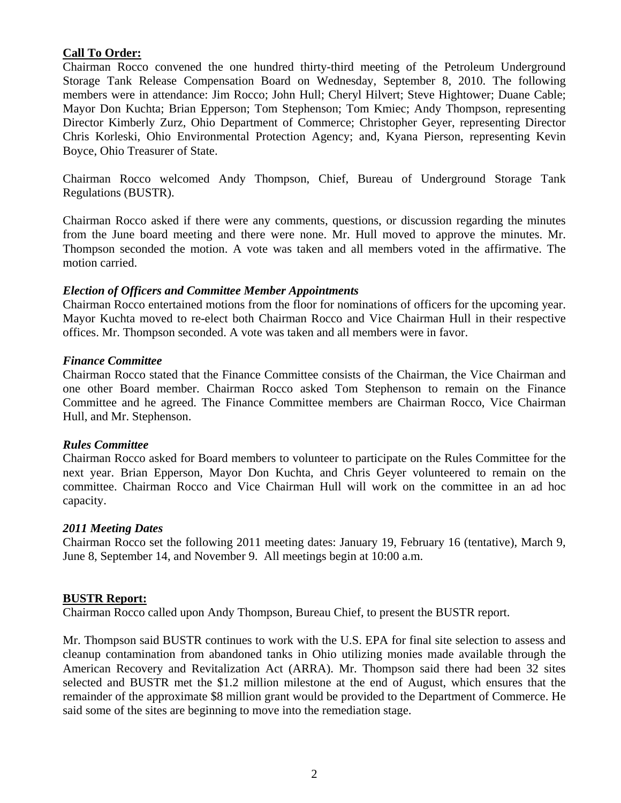## **Call To Order:**

Chairman Rocco convened the one hundred thirty-third meeting of the Petroleum Underground Storage Tank Release Compensation Board on Wednesday, September 8, 2010. The following members were in attendance: Jim Rocco; John Hull; Cheryl Hilvert; Steve Hightower; Duane Cable; Mayor Don Kuchta; Brian Epperson; Tom Stephenson; Tom Kmiec; Andy Thompson, representing Director Kimberly Zurz, Ohio Department of Commerce; Christopher Geyer, representing Director Chris Korleski, Ohio Environmental Protection Agency; and, Kyana Pierson, representing Kevin Boyce, Ohio Treasurer of State.

Chairman Rocco welcomed Andy Thompson, Chief, Bureau of Underground Storage Tank Regulations (BUSTR).

Chairman Rocco asked if there were any comments, questions, or discussion regarding the minutes from the June board meeting and there were none. Mr. Hull moved to approve the minutes. Mr. Thompson seconded the motion. A vote was taken and all members voted in the affirmative. The motion carried.

#### *Election of Officers and Committee Member Appointments*

Chairman Rocco entertained motions from the floor for nominations of officers for the upcoming year. Mayor Kuchta moved to re-elect both Chairman Rocco and Vice Chairman Hull in their respective offices. Mr. Thompson seconded. A vote was taken and all members were in favor.

#### *Finance Committee*

Chairman Rocco stated that the Finance Committee consists of the Chairman, the Vice Chairman and one other Board member. Chairman Rocco asked Tom Stephenson to remain on the Finance Committee and he agreed. The Finance Committee members are Chairman Rocco, Vice Chairman Hull, and Mr. Stephenson.

#### *Rules Committee*

Chairman Rocco asked for Board members to volunteer to participate on the Rules Committee for the next year. Brian Epperson, Mayor Don Kuchta, and Chris Geyer volunteered to remain on the committee. Chairman Rocco and Vice Chairman Hull will work on the committee in an ad hoc capacity.

## *2011 Meeting Dates*

Chairman Rocco set the following 2011 meeting dates: January 19, February 16 (tentative), March 9, June 8, September 14, and November 9. All meetings begin at 10:00 a.m.

#### **BUSTR Report:**

Chairman Rocco called upon Andy Thompson, Bureau Chief, to present the BUSTR report.

Mr. Thompson said BUSTR continues to work with the U.S. EPA for final site selection to assess and cleanup contamination from abandoned tanks in Ohio utilizing monies made available through the American Recovery and Revitalization Act (ARRA). Mr. Thompson said there had been 32 sites selected and BUSTR met the \$1.2 million milestone at the end of August, which ensures that the remainder of the approximate \$8 million grant would be provided to the Department of Commerce. He said some of the sites are beginning to move into the remediation stage.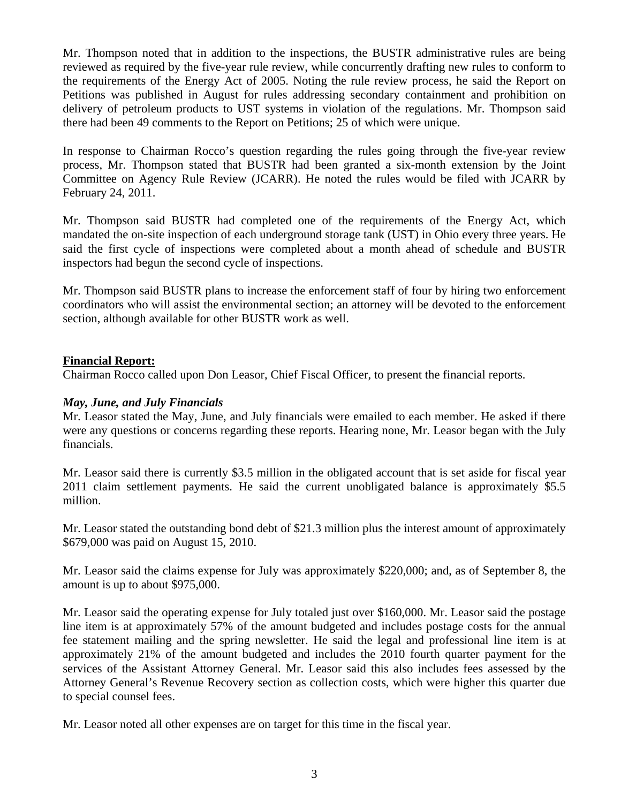Mr. Thompson noted that in addition to the inspections, the BUSTR administrative rules are being reviewed as required by the five-year rule review, while concurrently drafting new rules to conform to the requirements of the Energy Act of 2005. Noting the rule review process, he said the Report on Petitions was published in August for rules addressing secondary containment and prohibition on delivery of petroleum products to UST systems in violation of the regulations. Mr. Thompson said there had been 49 comments to the Report on Petitions; 25 of which were unique.

In response to Chairman Rocco's question regarding the rules going through the five-year review process, Mr. Thompson stated that BUSTR had been granted a six-month extension by the Joint Committee on Agency Rule Review (JCARR). He noted the rules would be filed with JCARR by February 24, 2011.

Mr. Thompson said BUSTR had completed one of the requirements of the Energy Act, which mandated the on-site inspection of each underground storage tank (UST) in Ohio every three years. He said the first cycle of inspections were completed about a month ahead of schedule and BUSTR inspectors had begun the second cycle of inspections.

Mr. Thompson said BUSTR plans to increase the enforcement staff of four by hiring two enforcement coordinators who will assist the environmental section; an attorney will be devoted to the enforcement section, although available for other BUSTR work as well.

## **Financial Report:**

Chairman Rocco called upon Don Leasor, Chief Fiscal Officer, to present the financial reports.

#### *May, June, and July Financials*

Mr. Leasor stated the May, June, and July financials were emailed to each member. He asked if there were any questions or concerns regarding these reports. Hearing none, Mr. Leasor began with the July financials.

Mr. Leasor said there is currently \$3.5 million in the obligated account that is set aside for fiscal year 2011 claim settlement payments. He said the current unobligated balance is approximately \$5.5 million.

Mr. Leasor stated the outstanding bond debt of \$21.3 million plus the interest amount of approximately \$679,000 was paid on August 15, 2010.

Mr. Leasor said the claims expense for July was approximately \$220,000; and, as of September 8, the amount is up to about \$975,000.

Mr. Leasor said the operating expense for July totaled just over \$160,000. Mr. Leasor said the postage line item is at approximately 57% of the amount budgeted and includes postage costs for the annual fee statement mailing and the spring newsletter. He said the legal and professional line item is at approximately 21% of the amount budgeted and includes the 2010 fourth quarter payment for the services of the Assistant Attorney General. Mr. Leasor said this also includes fees assessed by the Attorney General's Revenue Recovery section as collection costs, which were higher this quarter due to special counsel fees.

Mr. Leasor noted all other expenses are on target for this time in the fiscal year.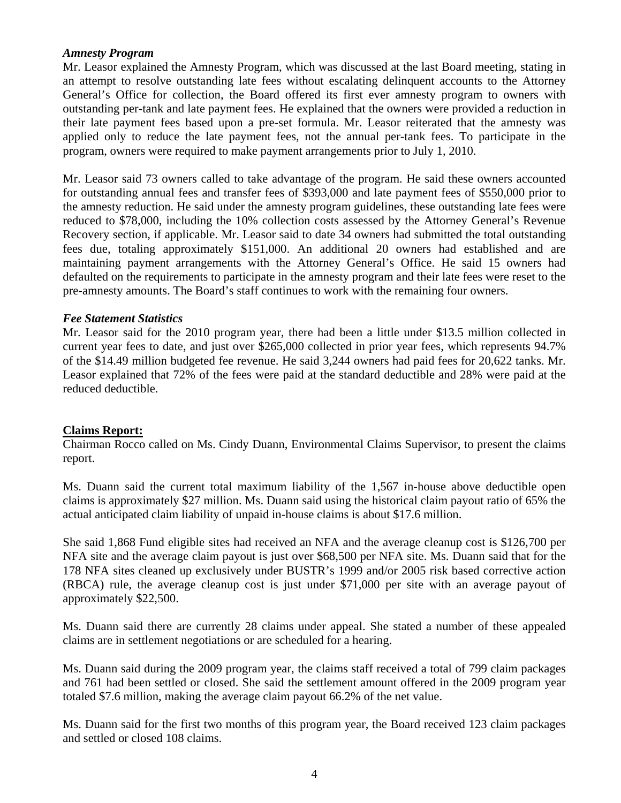## *Amnesty Program*

Mr. Leasor explained the Amnesty Program, which was discussed at the last Board meeting, stating in an attempt to resolve outstanding late fees without escalating delinquent accounts to the Attorney General's Office for collection, the Board offered its first ever amnesty program to owners with outstanding per-tank and late payment fees. He explained that the owners were provided a reduction in their late payment fees based upon a pre-set formula. Mr. Leasor reiterated that the amnesty was applied only to reduce the late payment fees, not the annual per-tank fees. To participate in the program, owners were required to make payment arrangements prior to July 1, 2010.

Mr. Leasor said 73 owners called to take advantage of the program. He said these owners accounted for outstanding annual fees and transfer fees of \$393,000 and late payment fees of \$550,000 prior to the amnesty reduction. He said under the amnesty program guidelines, these outstanding late fees were reduced to \$78,000, including the 10% collection costs assessed by the Attorney General's Revenue Recovery section, if applicable. Mr. Leasor said to date 34 owners had submitted the total outstanding fees due, totaling approximately \$151,000. An additional 20 owners had established and are maintaining payment arrangements with the Attorney General's Office. He said 15 owners had defaulted on the requirements to participate in the amnesty program and their late fees were reset to the pre-amnesty amounts. The Board's staff continues to work with the remaining four owners.

#### *Fee Statement Statistics*

Mr. Leasor said for the 2010 program year, there had been a little under \$13.5 million collected in current year fees to date, and just over \$265,000 collected in prior year fees, which represents 94.7% of the \$14.49 million budgeted fee revenue. He said 3,244 owners had paid fees for 20,622 tanks. Mr. Leasor explained that 72% of the fees were paid at the standard deductible and 28% were paid at the reduced deductible.

## **Claims Report:**

Chairman Rocco called on Ms. Cindy Duann, Environmental Claims Supervisor, to present the claims report.

Ms. Duann said the current total maximum liability of the 1,567 in-house above deductible open claims is approximately \$27 million. Ms. Duann said using the historical claim payout ratio of 65% the actual anticipated claim liability of unpaid in-house claims is about \$17.6 million.

She said 1,868 Fund eligible sites had received an NFA and the average cleanup cost is \$126,700 per NFA site and the average claim payout is just over \$68,500 per NFA site. Ms. Duann said that for the 178 NFA sites cleaned up exclusively under BUSTR's 1999 and/or 2005 risk based corrective action (RBCA) rule, the average cleanup cost is just under \$71,000 per site with an average payout of approximately \$22,500.

Ms. Duann said there are currently 28 claims under appeal. She stated a number of these appealed claims are in settlement negotiations or are scheduled for a hearing.

Ms. Duann said during the 2009 program year, the claims staff received a total of 799 claim packages and 761 had been settled or closed. She said the settlement amount offered in the 2009 program year totaled \$7.6 million, making the average claim payout 66.2% of the net value.

Ms. Duann said for the first two months of this program year, the Board received 123 claim packages and settled or closed 108 claims.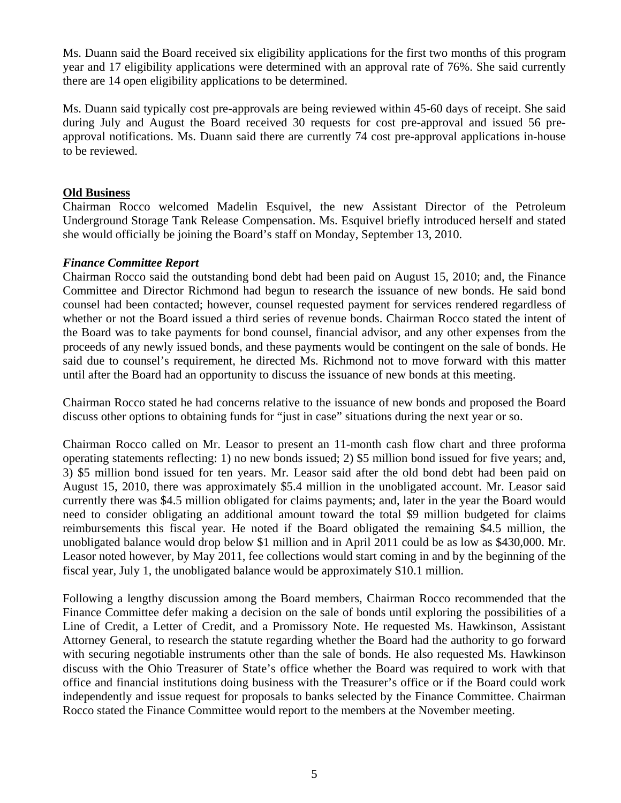Ms. Duann said the Board received six eligibility applications for the first two months of this program year and 17 eligibility applications were determined with an approval rate of 76%. She said currently there are 14 open eligibility applications to be determined.

Ms. Duann said typically cost pre-approvals are being reviewed within 45-60 days of receipt. She said during July and August the Board received 30 requests for cost pre-approval and issued 56 preapproval notifications. Ms. Duann said there are currently 74 cost pre-approval applications in-house to be reviewed.

# **Old Business**

Chairman Rocco welcomed Madelin Esquivel, the new Assistant Director of the Petroleum Underground Storage Tank Release Compensation. Ms. Esquivel briefly introduced herself and stated she would officially be joining the Board's staff on Monday, September 13, 2010.

# *Finance Committee Report*

Chairman Rocco said the outstanding bond debt had been paid on August 15, 2010; and, the Finance Committee and Director Richmond had begun to research the issuance of new bonds. He said bond counsel had been contacted; however, counsel requested payment for services rendered regardless of whether or not the Board issued a third series of revenue bonds. Chairman Rocco stated the intent of the Board was to take payments for bond counsel, financial advisor, and any other expenses from the proceeds of any newly issued bonds, and these payments would be contingent on the sale of bonds. He said due to counsel's requirement, he directed Ms. Richmond not to move forward with this matter until after the Board had an opportunity to discuss the issuance of new bonds at this meeting.

Chairman Rocco stated he had concerns relative to the issuance of new bonds and proposed the Board discuss other options to obtaining funds for "just in case" situations during the next year or so.

Chairman Rocco called on Mr. Leasor to present an 11-month cash flow chart and three proforma operating statements reflecting: 1) no new bonds issued; 2) \$5 million bond issued for five years; and, 3) \$5 million bond issued for ten years. Mr. Leasor said after the old bond debt had been paid on August 15, 2010, there was approximately \$5.4 million in the unobligated account. Mr. Leasor said currently there was \$4.5 million obligated for claims payments; and, later in the year the Board would need to consider obligating an additional amount toward the total \$9 million budgeted for claims reimbursements this fiscal year. He noted if the Board obligated the remaining \$4.5 million, the unobligated balance would drop below \$1 million and in April 2011 could be as low as \$430,000. Mr. Leasor noted however, by May 2011, fee collections would start coming in and by the beginning of the fiscal year, July 1, the unobligated balance would be approximately \$10.1 million.

Following a lengthy discussion among the Board members, Chairman Rocco recommended that the Finance Committee defer making a decision on the sale of bonds until exploring the possibilities of a Line of Credit, a Letter of Credit, and a Promissory Note. He requested Ms. Hawkinson, Assistant Attorney General, to research the statute regarding whether the Board had the authority to go forward with securing negotiable instruments other than the sale of bonds. He also requested Ms. Hawkinson discuss with the Ohio Treasurer of State's office whether the Board was required to work with that office and financial institutions doing business with the Treasurer's office or if the Board could work independently and issue request for proposals to banks selected by the Finance Committee. Chairman Rocco stated the Finance Committee would report to the members at the November meeting.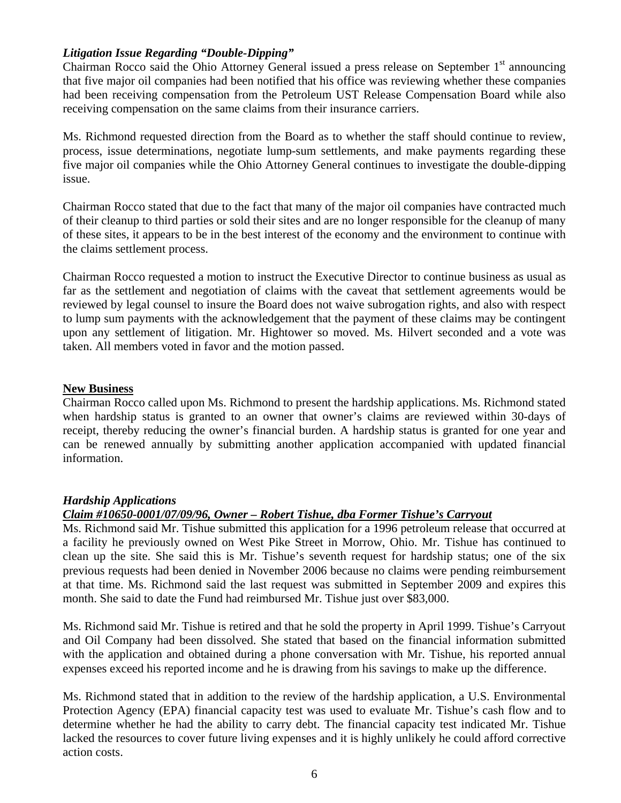# *Litigation Issue Regarding "Double-Dipping"*

Chairman Rocco said the Ohio Attorney General issued a press release on September  $1<sup>st</sup>$  announcing that five major oil companies had been notified that his office was reviewing whether these companies had been receiving compensation from the Petroleum UST Release Compensation Board while also receiving compensation on the same claims from their insurance carriers.

Ms. Richmond requested direction from the Board as to whether the staff should continue to review, process, issue determinations, negotiate lump-sum settlements, and make payments regarding these five major oil companies while the Ohio Attorney General continues to investigate the double-dipping issue.

Chairman Rocco stated that due to the fact that many of the major oil companies have contracted much of their cleanup to third parties or sold their sites and are no longer responsible for the cleanup of many of these sites, it appears to be in the best interest of the economy and the environment to continue with the claims settlement process.

Chairman Rocco requested a motion to instruct the Executive Director to continue business as usual as far as the settlement and negotiation of claims with the caveat that settlement agreements would be reviewed by legal counsel to insure the Board does not waive subrogation rights, and also with respect to lump sum payments with the acknowledgement that the payment of these claims may be contingent upon any settlement of litigation. Mr. Hightower so moved. Ms. Hilvert seconded and a vote was taken. All members voted in favor and the motion passed.

## **New Business**

Chairman Rocco called upon Ms. Richmond to present the hardship applications. Ms. Richmond stated when hardship status is granted to an owner that owner's claims are reviewed within 30-days of receipt, thereby reducing the owner's financial burden. A hardship status is granted for one year and can be renewed annually by submitting another application accompanied with updated financial information.

# *Hardship Applications*

# *Claim #10650-0001/07/09/96, Owner – Robert Tishue, dba Former Tishue's Carryout*

Ms. Richmond said Mr. Tishue submitted this application for a 1996 petroleum release that occurred at a facility he previously owned on West Pike Street in Morrow, Ohio. Mr. Tishue has continued to clean up the site. She said this is Mr. Tishue's seventh request for hardship status; one of the six previous requests had been denied in November 2006 because no claims were pending reimbursement at that time. Ms. Richmond said the last request was submitted in September 2009 and expires this month. She said to date the Fund had reimbursed Mr. Tishue just over \$83,000.

Ms. Richmond said Mr. Tishue is retired and that he sold the property in April 1999. Tishue's Carryout and Oil Company had been dissolved. She stated that based on the financial information submitted with the application and obtained during a phone conversation with Mr. Tishue, his reported annual expenses exceed his reported income and he is drawing from his savings to make up the difference.

Ms. Richmond stated that in addition to the review of the hardship application, a U.S. Environmental Protection Agency (EPA) financial capacity test was used to evaluate Mr. Tishue's cash flow and to determine whether he had the ability to carry debt. The financial capacity test indicated Mr. Tishue lacked the resources to cover future living expenses and it is highly unlikely he could afford corrective action costs.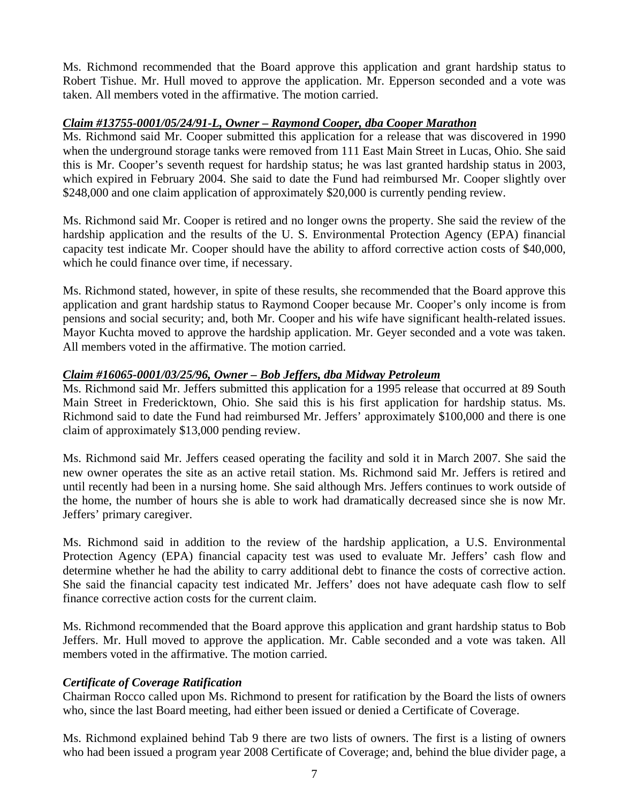Ms. Richmond recommended that the Board approve this application and grant hardship status to Robert Tishue. Mr. Hull moved to approve the application. Mr. Epperson seconded and a vote was taken. All members voted in the affirmative. The motion carried.

# *Claim #13755-0001/05/24/91-L, Owner – Raymond Cooper, dba Cooper Marathon*

Ms. Richmond said Mr. Cooper submitted this application for a release that was discovered in 1990 when the underground storage tanks were removed from 111 East Main Street in Lucas, Ohio. She said this is Mr. Cooper's seventh request for hardship status; he was last granted hardship status in 2003, which expired in February 2004. She said to date the Fund had reimbursed Mr. Cooper slightly over \$248,000 and one claim application of approximately \$20,000 is currently pending review.

Ms. Richmond said Mr. Cooper is retired and no longer owns the property. She said the review of the hardship application and the results of the U. S. Environmental Protection Agency (EPA) financial capacity test indicate Mr. Cooper should have the ability to afford corrective action costs of \$40,000, which he could finance over time, if necessary.

Ms. Richmond stated, however, in spite of these results, she recommended that the Board approve this application and grant hardship status to Raymond Cooper because Mr. Cooper's only income is from pensions and social security; and, both Mr. Cooper and his wife have significant health-related issues. Mayor Kuchta moved to approve the hardship application. Mr. Geyer seconded and a vote was taken. All members voted in the affirmative. The motion carried.

# *Claim #16065-0001/03/25/96, Owner – Bob Jeffers, dba Midway Petroleum*

Ms. Richmond said Mr. Jeffers submitted this application for a 1995 release that occurred at 89 South Main Street in Fredericktown, Ohio. She said this is his first application for hardship status. Ms. Richmond said to date the Fund had reimbursed Mr. Jeffers' approximately \$100,000 and there is one claim of approximately \$13,000 pending review.

Ms. Richmond said Mr. Jeffers ceased operating the facility and sold it in March 2007. She said the new owner operates the site as an active retail station. Ms. Richmond said Mr. Jeffers is retired and until recently had been in a nursing home. She said although Mrs. Jeffers continues to work outside of the home, the number of hours she is able to work had dramatically decreased since she is now Mr. Jeffers' primary caregiver.

Ms. Richmond said in addition to the review of the hardship application, a U.S. Environmental Protection Agency (EPA) financial capacity test was used to evaluate Mr. Jeffers' cash flow and determine whether he had the ability to carry additional debt to finance the costs of corrective action. She said the financial capacity test indicated Mr. Jeffers' does not have adequate cash flow to self finance corrective action costs for the current claim.

Ms. Richmond recommended that the Board approve this application and grant hardship status to Bob Jeffers. Mr. Hull moved to approve the application. Mr. Cable seconded and a vote was taken. All members voted in the affirmative. The motion carried.

# *Certificate of Coverage Ratification*

Chairman Rocco called upon Ms. Richmond to present for ratification by the Board the lists of owners who, since the last Board meeting, had either been issued or denied a Certificate of Coverage.

Ms. Richmond explained behind Tab 9 there are two lists of owners. The first is a listing of owners who had been issued a program year 2008 Certificate of Coverage; and, behind the blue divider page, a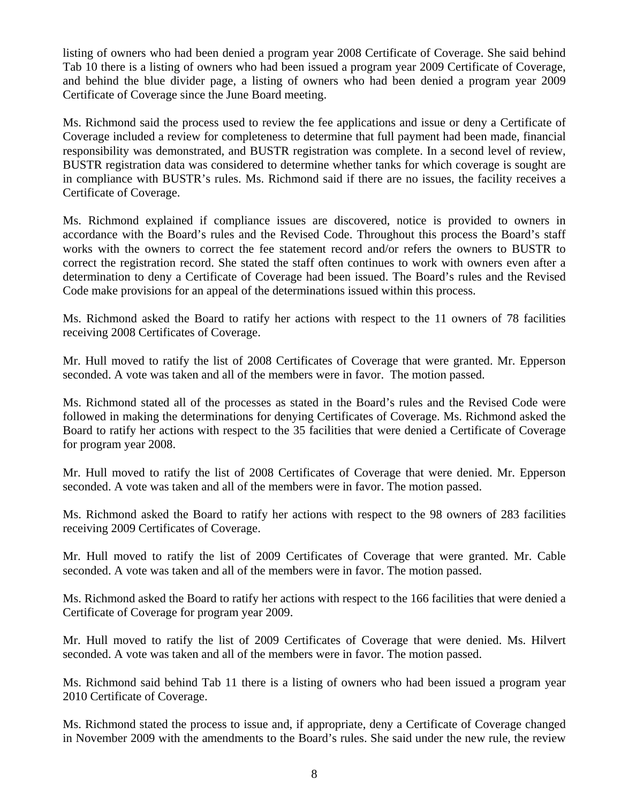listing of owners who had been denied a program year 2008 Certificate of Coverage. She said behind Tab 10 there is a listing of owners who had been issued a program year 2009 Certificate of Coverage, and behind the blue divider page, a listing of owners who had been denied a program year 2009 Certificate of Coverage since the June Board meeting.

Ms. Richmond said the process used to review the fee applications and issue or deny a Certificate of Coverage included a review for completeness to determine that full payment had been made, financial responsibility was demonstrated, and BUSTR registration was complete. In a second level of review, BUSTR registration data was considered to determine whether tanks for which coverage is sought are in compliance with BUSTR's rules. Ms. Richmond said if there are no issues, the facility receives a Certificate of Coverage.

Ms. Richmond explained if compliance issues are discovered, notice is provided to owners in accordance with the Board's rules and the Revised Code. Throughout this process the Board's staff works with the owners to correct the fee statement record and/or refers the owners to BUSTR to correct the registration record. She stated the staff often continues to work with owners even after a determination to deny a Certificate of Coverage had been issued. The Board's rules and the Revised Code make provisions for an appeal of the determinations issued within this process.

Ms. Richmond asked the Board to ratify her actions with respect to the 11 owners of 78 facilities receiving 2008 Certificates of Coverage.

Mr. Hull moved to ratify the list of 2008 Certificates of Coverage that were granted. Mr. Epperson seconded. A vote was taken and all of the members were in favor. The motion passed.

Ms. Richmond stated all of the processes as stated in the Board's rules and the Revised Code were followed in making the determinations for denying Certificates of Coverage. Ms. Richmond asked the Board to ratify her actions with respect to the 35 facilities that were denied a Certificate of Coverage for program year 2008.

Mr. Hull moved to ratify the list of 2008 Certificates of Coverage that were denied. Mr. Epperson seconded. A vote was taken and all of the members were in favor. The motion passed.

Ms. Richmond asked the Board to ratify her actions with respect to the 98 owners of 283 facilities receiving 2009 Certificates of Coverage.

Mr. Hull moved to ratify the list of 2009 Certificates of Coverage that were granted. Mr. Cable seconded. A vote was taken and all of the members were in favor. The motion passed.

Ms. Richmond asked the Board to ratify her actions with respect to the 166 facilities that were denied a Certificate of Coverage for program year 2009.

Mr. Hull moved to ratify the list of 2009 Certificates of Coverage that were denied. Ms. Hilvert seconded. A vote was taken and all of the members were in favor. The motion passed.

Ms. Richmond said behind Tab 11 there is a listing of owners who had been issued a program year 2010 Certificate of Coverage.

Ms. Richmond stated the process to issue and, if appropriate, deny a Certificate of Coverage changed in November 2009 with the amendments to the Board's rules. She said under the new rule, the review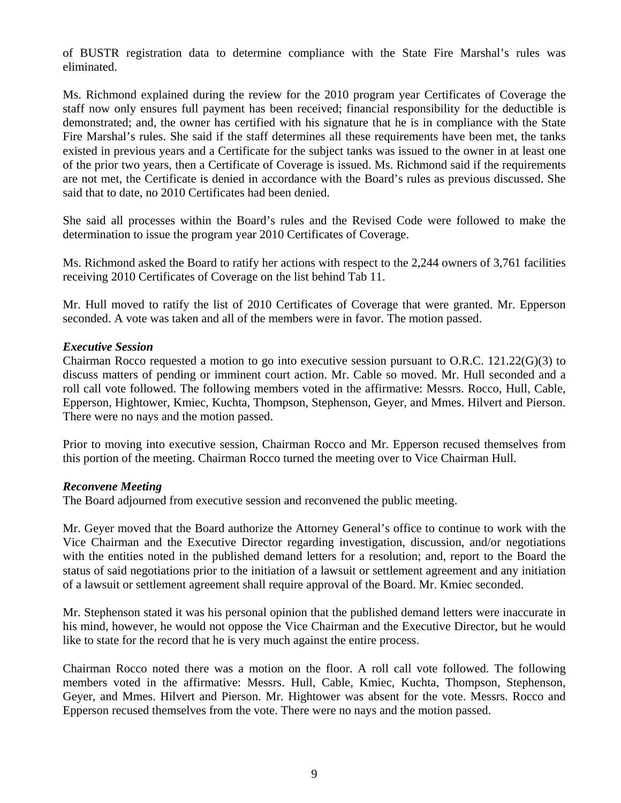of BUSTR registration data to determine compliance with the State Fire Marshal's rules was eliminated.

Ms. Richmond explained during the review for the 2010 program year Certificates of Coverage the staff now only ensures full payment has been received; financial responsibility for the deductible is demonstrated; and, the owner has certified with his signature that he is in compliance with the State Fire Marshal's rules. She said if the staff determines all these requirements have been met, the tanks existed in previous years and a Certificate for the subject tanks was issued to the owner in at least one of the prior two years, then a Certificate of Coverage is issued. Ms. Richmond said if the requirements are not met, the Certificate is denied in accordance with the Board's rules as previous discussed. She said that to date, no 2010 Certificates had been denied.

She said all processes within the Board's rules and the Revised Code were followed to make the determination to issue the program year 2010 Certificates of Coverage.

Ms. Richmond asked the Board to ratify her actions with respect to the 2,244 owners of 3,761 facilities receiving 2010 Certificates of Coverage on the list behind Tab 11.

Mr. Hull moved to ratify the list of 2010 Certificates of Coverage that were granted. Mr. Epperson seconded. A vote was taken and all of the members were in favor. The motion passed.

#### *Executive Session*

Chairman Rocco requested a motion to go into executive session pursuant to O.R.C. 121.22(G)(3) to discuss matters of pending or imminent court action. Mr. Cable so moved. Mr. Hull seconded and a roll call vote followed. The following members voted in the affirmative: Messrs. Rocco, Hull, Cable, Epperson, Hightower, Kmiec, Kuchta, Thompson, Stephenson, Geyer, and Mmes. Hilvert and Pierson. There were no nays and the motion passed.

Prior to moving into executive session, Chairman Rocco and Mr. Epperson recused themselves from this portion of the meeting. Chairman Rocco turned the meeting over to Vice Chairman Hull.

#### *Reconvene Meeting*

The Board adjourned from executive session and reconvened the public meeting.

Mr. Geyer moved that the Board authorize the Attorney General's office to continue to work with the Vice Chairman and the Executive Director regarding investigation, discussion, and/or negotiations with the entities noted in the published demand letters for a resolution; and, report to the Board the status of said negotiations prior to the initiation of a lawsuit or settlement agreement and any initiation of a lawsuit or settlement agreement shall require approval of the Board. Mr. Kmiec seconded.

Mr. Stephenson stated it was his personal opinion that the published demand letters were inaccurate in his mind, however, he would not oppose the Vice Chairman and the Executive Director, but he would like to state for the record that he is very much against the entire process.

Chairman Rocco noted there was a motion on the floor. A roll call vote followed. The following members voted in the affirmative: Messrs. Hull, Cable, Kmiec, Kuchta, Thompson, Stephenson, Geyer, and Mmes. Hilvert and Pierson. Mr. Hightower was absent for the vote. Messrs. Rocco and Epperson recused themselves from the vote. There were no nays and the motion passed.